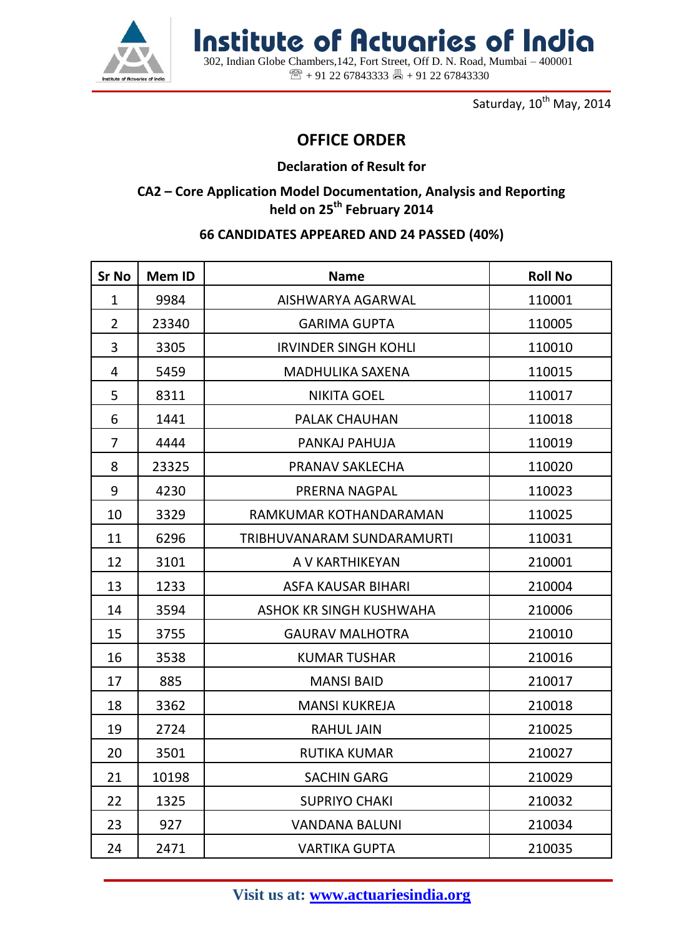

**Institute of Actuaries of India**  302, Indian Globe Chambers,142, Fort Street, Off D. N. Road, Mumbai – 400001  $\mathbb{R}$  + 91 22 67843333  $\mathbb{B}$  + 91 22 67843330

Saturday, 10<sup>th</sup> May, 2014

## **OFFICE ORDER**

## **Declaration of Result for**

## **CA2 – Core Application Model Documentation, Analysis and Reporting held on 25th February 2014**

## **66 CANDIDATES APPEARED AND 24 PASSED (40%)**

| <b>Sr No</b>   | Mem ID | <b>Name</b>                 | <b>Roll No</b> |
|----------------|--------|-----------------------------|----------------|
| 1              | 9984   | AISHWARYA AGARWAL           | 110001         |
| $\overline{2}$ | 23340  | <b>GARIMA GUPTA</b>         | 110005         |
| 3              | 3305   | <b>IRVINDER SINGH KOHLI</b> | 110010         |
| 4              | 5459   | <b>MADHULIKA SAXENA</b>     | 110015         |
| 5              | 8311   | <b>NIKITA GOEL</b>          | 110017         |
| 6              | 1441   | <b>PALAK CHAUHAN</b>        | 110018         |
| $\overline{7}$ | 4444   | PANKAJ PAHUJA               | 110019         |
| 8              | 23325  | PRANAV SAKLECHA             | 110020         |
| 9              | 4230   | PRERNA NAGPAL               | 110023         |
| 10             | 3329   | RAMKUMAR KOTHANDARAMAN      | 110025         |
| 11             | 6296   | TRIBHUVANARAM SUNDARAMURTI  | 110031         |
| 12             | 3101   | A V KARTHIKEYAN             | 210001         |
| 13             | 1233   | ASFA KAUSAR BIHARI          | 210004         |
| 14             | 3594   | ASHOK KR SINGH KUSHWAHA     | 210006         |
| 15             | 3755   | <b>GAURAV MALHOTRA</b>      | 210010         |
| 16             | 3538   | <b>KUMAR TUSHAR</b>         | 210016         |
| 17             | 885    | <b>MANSI BAID</b>           | 210017         |
| 18             | 3362   | <b>MANSI KUKREJA</b>        | 210018         |
| 19             | 2724   | <b>RAHUL JAIN</b>           | 210025         |
| 20             | 3501   | <b>RUTIKA KUMAR</b>         | 210027         |
| 21             | 10198  | <b>SACHIN GARG</b>          | 210029         |
| 22             | 1325   | <b>SUPRIYO CHAKI</b>        | 210032         |
| 23             | 927    | <b>VANDANA BALUNI</b>       | 210034         |
| 24             | 2471   | <b>VARTIKA GUPTA</b>        | 210035         |

**Visit us at: www.actuariesindia.org**